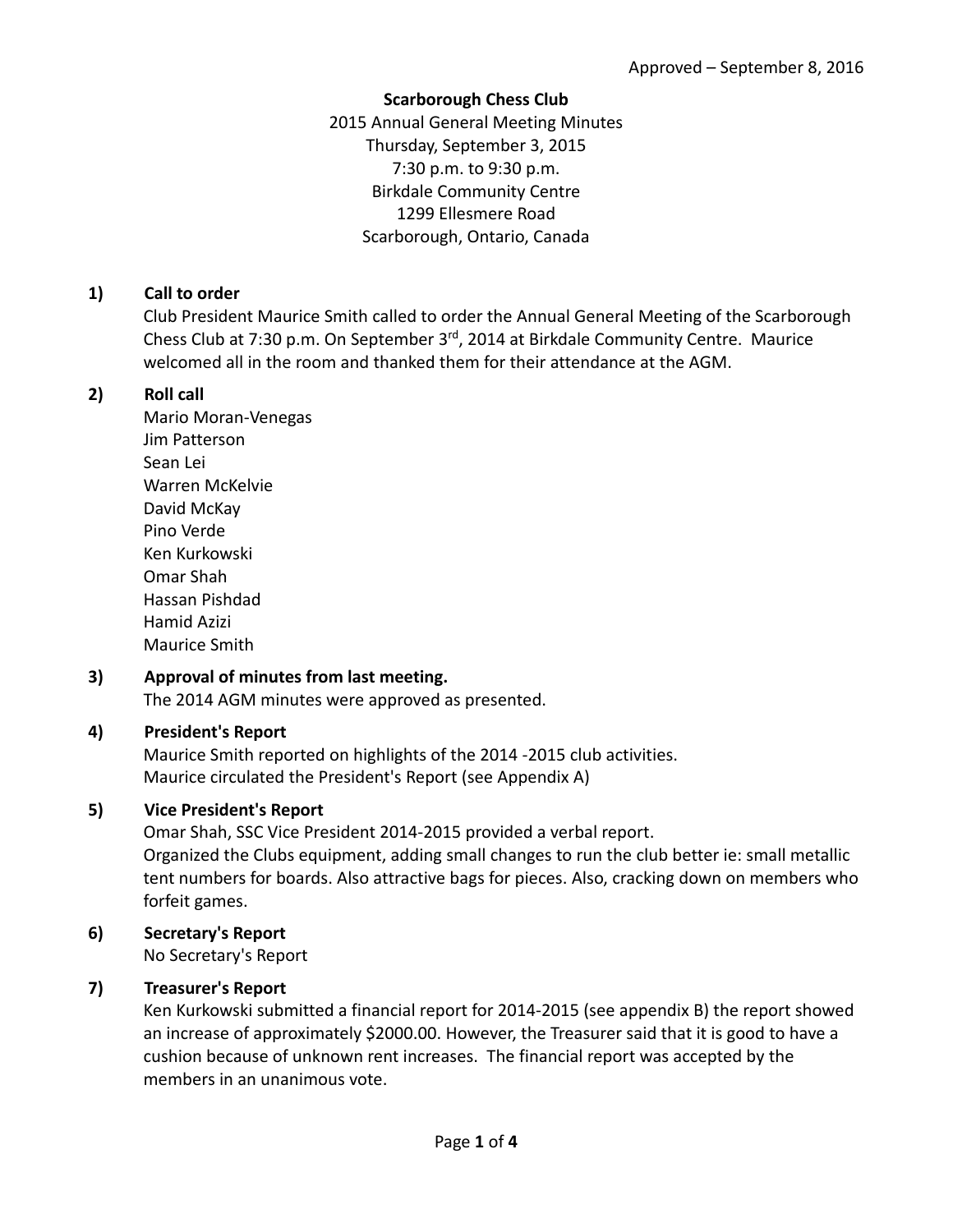#### **Scarborough Chess Club**

2015 Annual General Meeting Minutes Thursday, September 3, 2015 7:30 p.m. to 9:30 p.m. Birkdale Community Centre 1299 Ellesmere Road Scarborough, Ontario, Canada

## **1) Call to order**

Club President Maurice Smith called to order the Annual General Meeting of the Scarborough Chess Club at 7:30 p.m. On September 3rd, 2014 at Birkdale Community Centre. Maurice welcomed all in the room and thanked them for their attendance at the AGM.

### **2) Roll call**

Mario Moran‐Venegas Jim Patterson Sean Lei Warren McKelvie David McKay Pino Verde Ken Kurkowski Omar Shah Hassan Pishdad Hamid Azizi Maurice Smith

# **3) Approval of minutes from last meeting.**

The 2014 AGM minutes were approved as presented.

### **4) President's Report**

Maurice Smith reported on highlights of the 2014 ‐2015 club activities. Maurice circulated the President's Report (see Appendix A)

### **5) Vice President's Report**

Omar Shah, SSC Vice President 2014‐2015 provided a verbal report. Organized the Clubs equipment, adding small changes to run the club better ie: small metallic tent numbers for boards. Also attractive bags for pieces. Also, cracking down on members who forfeit games.

# **6) Secretary's Report**

No Secretary's Report

### **7) Treasurer's Report**

Ken Kurkowski submitted a financial report for 2014‐2015 (see appendix B) the report showed an increase of approximately \$2000.00. However, the Treasurer said that it is good to have a cushion because of unknown rent increases. The financial report was accepted by the members in an unanimous vote.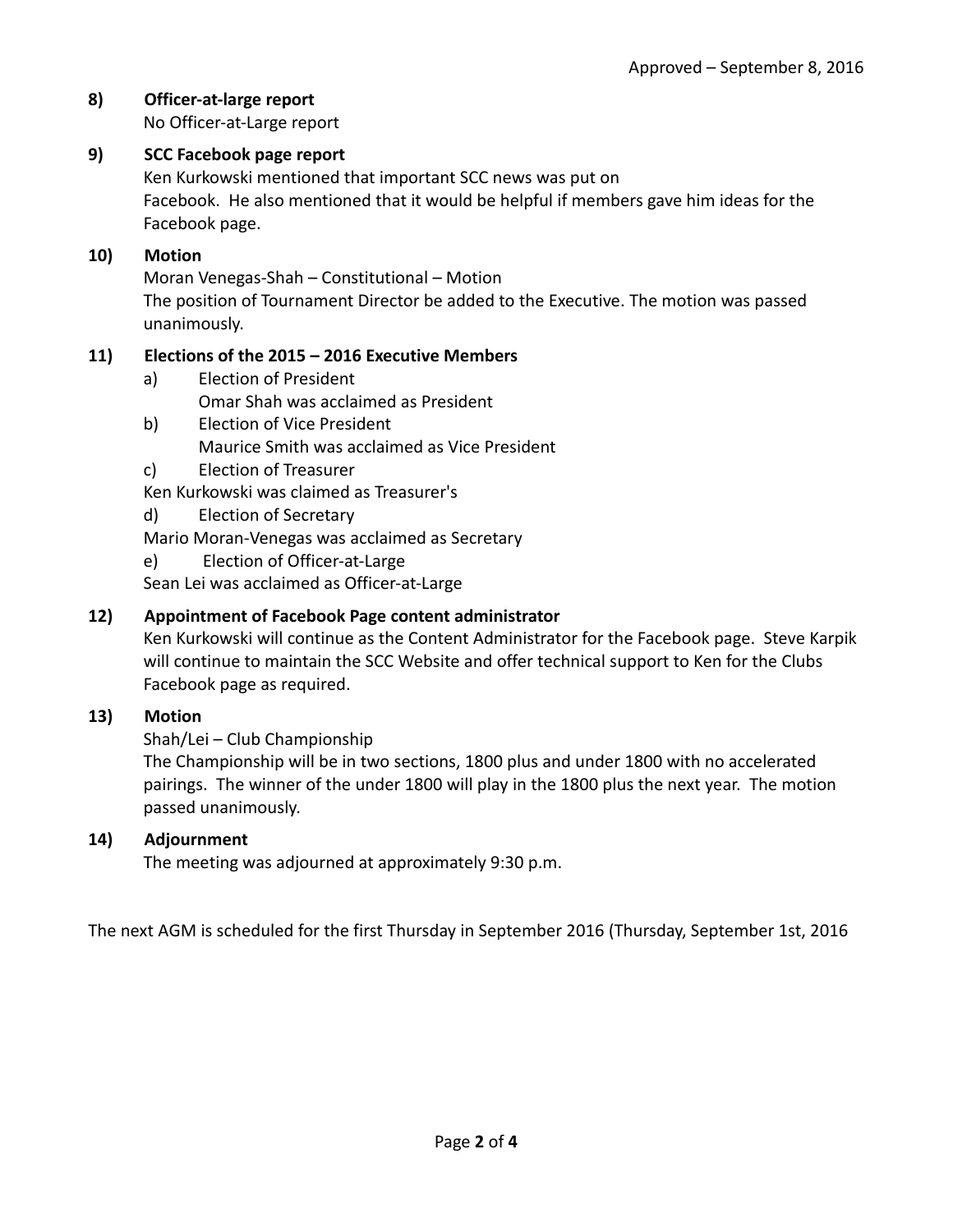## **8) Officer‐at‐large report**

No Officer‐at‐Large report

### **9) SCC Facebook page report**

Ken Kurkowski mentioned that important SCC news was put on Facebook. He also mentioned that it would be helpful if members gave him ideas for the Facebook page.

#### **10) Motion**

Moran Venegas‐Shah – Constitutional – Motion The position of Tournament Director be added to the Executive. The motion was passed unanimously.

#### **11) Elections of the 2015 – 2016 Executive Members**

- a) Election of President Omar Shah was acclaimed as President
- b) Election of Vice President Maurice Smith was acclaimed as Vice President
- c) Election of Treasurer

Ken Kurkowski was claimed as Treasurer's

d) Election of Secretary

Mario Moran‐Venegas was acclaimed as Secretary

e) Election of Officer-at-Large

Sean Lei was acclaimed as Officer‐at‐Large

#### **12) Appointment of Facebook Page content administrator**

Ken Kurkowski will continue as the Content Administrator for the Facebook page. Steve Karpik will continue to maintain the SCC Website and offer technical support to Ken for the Clubs Facebook page as required.

#### **13) Motion**

Shah/Lei – Club Championship

The Championship will be in two sections, 1800 plus and under 1800 with no accelerated pairings. The winner of the under 1800 will play in the 1800 plus the next year. The motion passed unanimously.

#### **14) Adjournment**

The meeting was adjourned at approximately 9:30 p.m.

The next AGM is scheduled for the first Thursday in September 2016 (Thursday, September 1st, 2016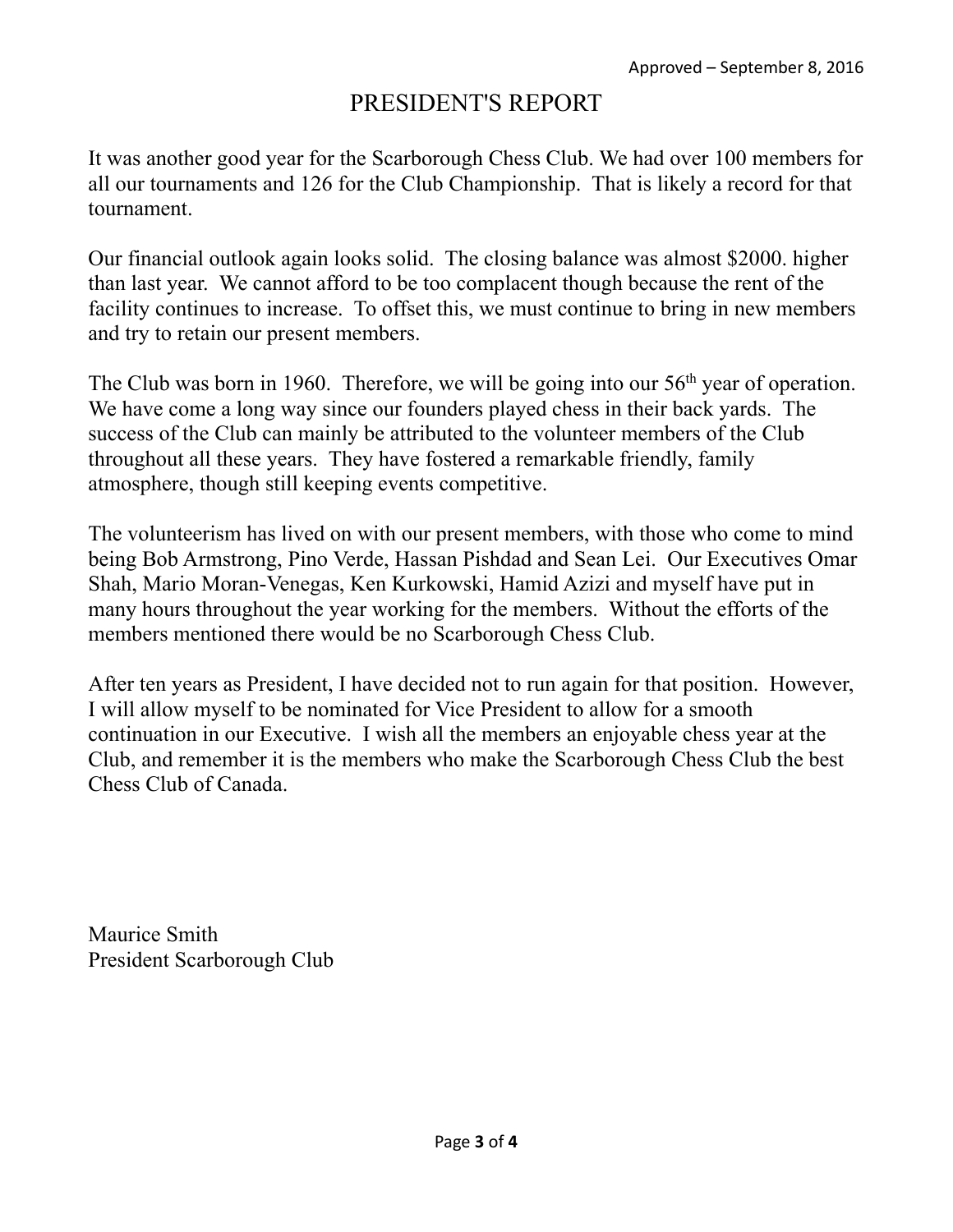# PRESIDENT'S REPORT

It was another good year for the Scarborough Chess Club. We had over 100 members for all our tournaments and 126 for the Club Championship. That is likely a record for that tournament.

Our financial outlook again looks solid. The closing balance was almost \$2000. higher than last year. We cannot afford to be too complacent though because the rent of the facility continues to increase. To offset this, we must continue to bring in new members and try to retain our present members.

The Club was born in 1960. Therefore, we will be going into our  $56<sup>th</sup>$  year of operation. We have come a long way since our founders played chess in their back yards. The success of the Club can mainly be attributed to the volunteer members of the Club throughout all these years. They have fostered a remarkable friendly, family atmosphere, though still keeping events competitive.

The volunteerism has lived on with our present members, with those who come to mind being Bob Armstrong, Pino Verde, Hassan Pishdad and Sean Lei. Our Executives Omar Shah, Mario Moran-Venegas, Ken Kurkowski, Hamid Azizi and myself have put in many hours throughout the year working for the members. Without the efforts of the members mentioned there would be no Scarborough Chess Club.

After ten years as President, I have decided not to run again for that position. However, I will allow myself to be nominated for Vice President to allow for a smooth continuation in our Executive. I wish all the members an enjoyable chess year at the Club, and remember it is the members who make the Scarborough Chess Club the best Chess Club of Canada.

Maurice Smith President Scarborough Club